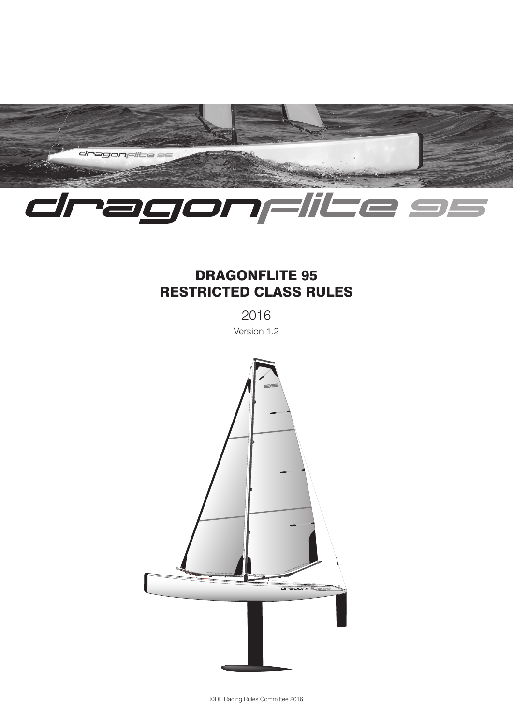

# DRAGONFLITE 95 RESTRICTED CLASS RULES

2016

Version 1.2

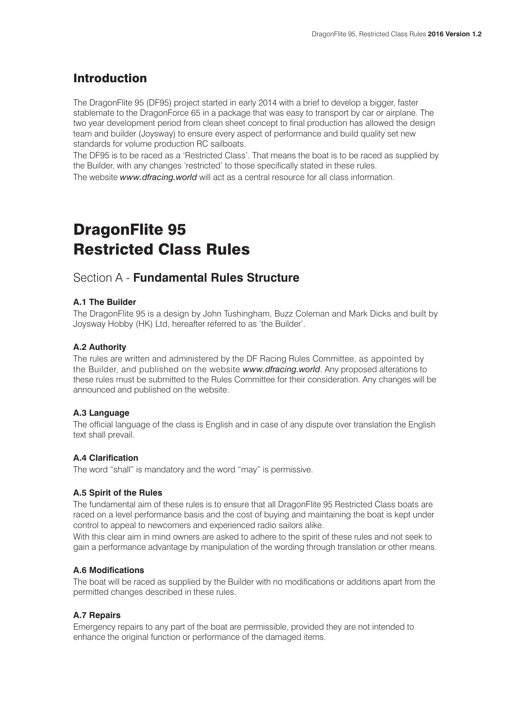## Introduction

The DragonFlite 95 (DF95) project started in early 2014 with a brief to develop a bigger, faster stablemate to the DragonForce 65 in a package that was easy to transport by car or airplane. The two year development period from clean sheet concept to final production has allowed the design team and builder (Joysway) to ensure every aspect of performance and build quality set new standards for volume production RC sailboats.

The DF95 is to be raced as a 'Restricted Class'. That means the boat is to be raced as supplied by the Builder, with any changes 'restricted' to those specifically stated in these rules.

The website *www.dfracing.world* will act as a central resource for all class information.

# DragonFlite 95 Restricted Class Rules

### Section A - **Fundamental Rules Structure**

#### **A.1 The Builder**

The DragonFlite 95 is a design by John Tushingham, Buzz Coleman and Mark Dicks and built by Joysway Hobby (HK) Ltd, hereafter referred to as 'the Builder'.

#### **A.2 Authority**

The rules are written and administered by the DF Racing Rules Committee, as appointed by the Builder, and published on the website *www.dfracing.world*. Any proposed alterations to these rules must be submitted to the Rules Committee for their consideration. Any changes will be announced and published on the website.

#### **A.3 Language**

The official language of the class is English and in case of any dispute over translation the English text shall prevail.

#### **A.4 Clarification**

The word "shall" is mandatory and the word "may" is permissive.

#### **A.5 Spirit of the Rules**

The fundamental aim of these rules is to ensure that all DragonFlite 95 Restricted Class boats are raced on a level performance basis and the cost of buying and maintaining the boat is kept under control to appeal to newcomers and experienced radio sailors alike.

With this clear aim in mind owners are asked to adhere to the spirit of these rules and not seek to gain a performance advantage by manipulation of the wording through translation or other means.

#### **A.6 Modifications**

The boat will be raced as supplied by the Builder with no modifications or additions apart from the permitted changes described in these rules.

#### **A.7 Repairs**

Emergency repairs to any part of the boat are permissible, provided they are not intended to enhance the original function or performance of the damaged items.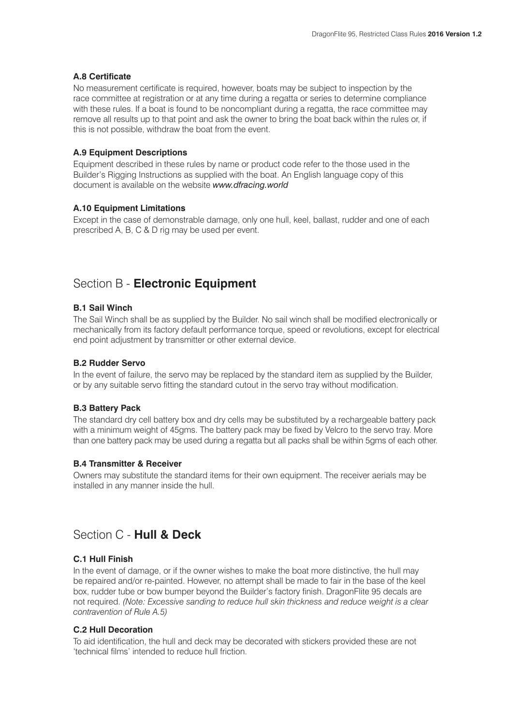#### **A.8 Certificate**

No measurement certificate is required, however, boats may be subject to inspection by the race committee at registration or at any time during a regatta or series to determine compliance with these rules. If a boat is found to be noncompliant during a regatta, the race committee may remove all results up to that point and ask the owner to bring the boat back within the rules or, if this is not possible, withdraw the boat from the event.

#### **A.9 Equipment Descriptions**

Equipment described in these rules by name or product code refer to the those used in the Builder's Rigging Instructions as supplied with the boat. An English language copy of this document is available on the website *www.dfracing.world*

#### **A.10 Equipment Limitations**

Except in the case of demonstrable damage, only one hull, keel, ballast, rudder and one of each prescribed A, B, C & D rig may be used per event.

### Section B - **Electronic Equipment**

#### **B.1 Sail Winch**

The Sail Winch shall be as supplied by the Builder. No sail winch shall be modified electronically or mechanically from its factory default performance torque, speed or revolutions, except for electrical end point adjustment by transmitter or other external device.

#### **B.2 Rudder Servo**

In the event of failure, the servo may be replaced by the standard item as supplied by the Builder, or by any suitable servo fitting the standard cutout in the servo tray without modification.

#### **B.3 Battery Pack**

The standard dry cell battery box and dry cells may be substituted by a rechargeable battery pack with a minimum weight of 45gms. The battery pack may be fixed by Velcro to the servo tray. More than one battery pack may be used during a regatta but all packs shall be within 5gms of each other.

#### **B.4 Transmitter & Receiver**

Owners may substitute the standard items for their own equipment. The receiver aerials may be installed in any manner inside the hull.

### Section C - **Hull & Deck**

#### **C.1 Hull Finish**

In the event of damage, or if the owner wishes to make the boat more distinctive, the hull may be repaired and/or re-painted. However, no attempt shall be made to fair in the base of the keel box, rudder tube or bow bumper beyond the Builder's factory finish. DragonFlite 95 decals are not required. *(Note: Excessive sanding to reduce hull skin thickness and reduce weight is a clear contravention of Rule A.5)*

#### **C.2 Hull Decoration**

To aid identification, the hull and deck may be decorated with stickers provided these are not 'technical films' intended to reduce hull friction.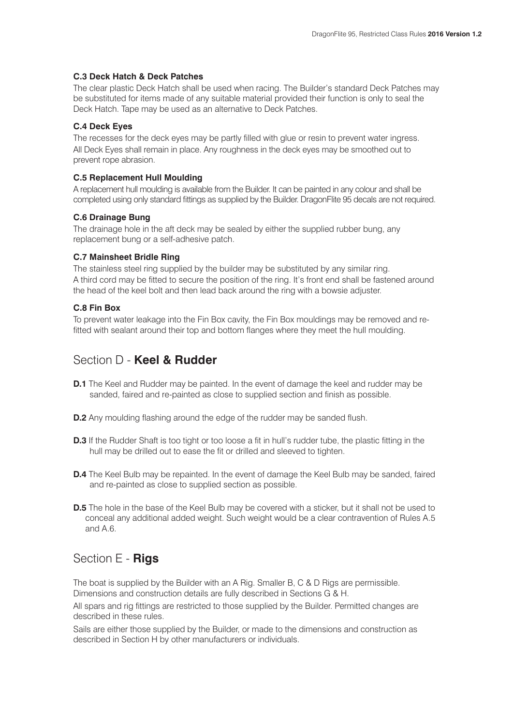#### **C.3 Deck Hatch & Deck Patches**

The clear plastic Deck Hatch shall be used when racing. The Builder's standard Deck Patches may be substituted for items made of any suitable material provided their function is only to seal the Deck Hatch. Tape may be used as an alternative to Deck Patches.

#### **C.4 Deck Eyes**

The recesses for the deck eyes may be partly filled with glue or resin to prevent water ingress. All Deck Eyes shall remain in place. Any roughness in the deck eyes may be smoothed out to prevent rope abrasion.

#### **C.5 Replacement Hull Moulding**

A replacement hull moulding is available from the Builder. It can be painted in any colour and shall be completed using only standard fittings as supplied by the Builder. DragonFlite 95 decals are not required.

#### **C.6 Drainage Bung**

The drainage hole in the aft deck may be sealed by either the supplied rubber bung, any replacement bung or a self-adhesive patch.

#### **C.7 Mainsheet Bridle Ring**

The stainless steel ring supplied by the builder may be substituted by any similar ring. A third cord may be fitted to secure the position of the ring. It's front end shall be fastened around the head of the keel bolt and then lead back around the ring with a bowsie adjuster.

#### **C.8 Fin Box**

To prevent water leakage into the Fin Box cavity, the Fin Box mouldings may be removed and refitted with sealant around their top and bottom flanges where they meet the hull moulding.

### Section D - **Keel & Rudder**

- **D.1** The Keel and Rudder may be painted. In the event of damage the keel and rudder may be sanded, faired and re-painted as close to supplied section and finish as possible.
- **D.2** Any moulding flashing around the edge of the rudder may be sanded flush.
- **D.3** If the Rudder Shaft is too tight or too loose a fit in hull's rudder tube, the plastic fitting in the hull may be drilled out to ease the fit or drilled and sleeved to tighten.
- **D.4** The Keel Bulb may be repainted. In the event of damage the Keel Bulb may be sanded, faired and re-painted as close to supplied section as possible.
- **D.5** The hole in the base of the Keel Bulb may be covered with a sticker, but it shall not be used to conceal any additional added weight. Such weight would be a clear contravention of Rules A.5 and A.6.

## Section E - **Rigs**

The boat is supplied by the Builder with an A Rig. Smaller B, C & D Rigs are permissible. Dimensions and construction details are fully described in Sections G & H.

All spars and rig fittings are restricted to those supplied by the Builder. Permitted changes are described in these rules.

Sails are either those supplied by the Builder, or made to the dimensions and construction as described in Section H by other manufacturers or individuals.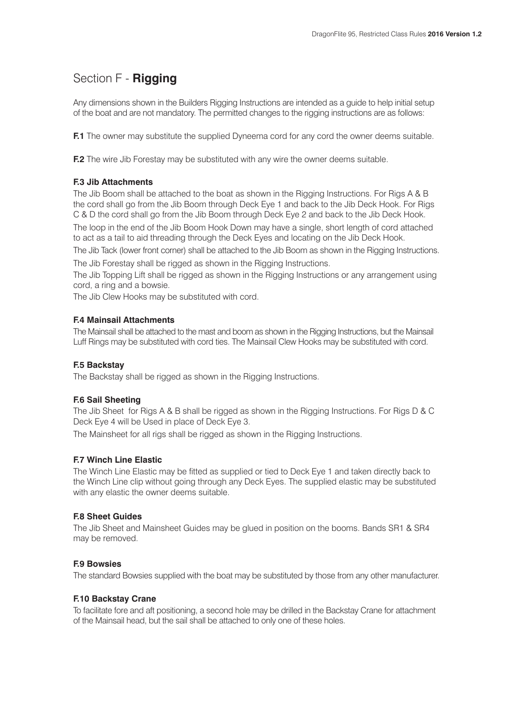# Section F - **Rigging**

Any dimensions shown in the Builders Rigging Instructions are intended as a quide to help initial setup of the boat and are not mandatory. The permitted changes to the rigging instructions are as follows:

**F.1** The owner may substitute the supplied Dyneema cord for any cord the owner deems suitable.

**F.2** The wire Jib Forestay may be substituted with any wire the owner deems suitable.

#### **F.3 Jib Attachments**

The Jib Boom shall be attached to the boat as shown in the Rigging Instructions. For Rigs A & B the cord shall go from the Jib Boom through Deck Eye 1 and back to the Jib Deck Hook. For Rigs C & D the cord shall go from the Jib Boom through Deck Eye 2 and back to the Jib Deck Hook. The loop in the end of the Jib Boom Hook Down may have a single, short length of cord attached to act as a tail to aid threading through the Deck Eyes and locating on the Jib Deck Hook.

The Jib Tack (lower front corner) shall be attached to the Jib Boom as shown in the Rigging Instructions.

The Jib Forestay shall be rigged as shown in the Rigging Instructions.

The Jib Topping Lift shall be rigged as shown in the Rigging Instructions or any arrangement using cord, a ring and a bowsie.

The Jib Clew Hooks may be substituted with cord.

#### **F.4 Mainsail Attachments**

The Mainsail shall be attached to the mast and boom as shown in the Rigging Instructions, but the Mainsail Luff Rings may be substituted with cord ties. The Mainsail Clew Hooks may be substituted with cord.

#### **F.5 Backstay**

The Backstay shall be rigged as shown in the Rigging Instructions.

#### **F.6 Sail Sheeting**

The Jib Sheet for Rigs A & B shall be rigged as shown in the Rigging Instructions. For Rigs D & C Deck Eye 4 will be Used in place of Deck Eye 3.

The Mainsheet for all rigs shall be rigged as shown in the Rigging Instructions.

#### **F.7 Winch Line Elastic**

The Winch Line Elastic may be fitted as supplied or tied to Deck Eye 1 and taken directly back to the Winch Line clip without going through any Deck Eyes. The supplied elastic may be substituted with any elastic the owner deems suitable.

#### **F.8 Sheet Guides**

The Jib Sheet and Mainsheet Guides may be glued in position on the booms. Bands SR1 & SR4 may be removed.

#### **F.9 Bowsies**

The standard Bowsies supplied with the boat may be substituted by those from any other manufacturer.

#### **F.10 Backstay Crane**

To facilitate fore and aft positioning, a second hole may be drilled in the Backstay Crane for attachment of the Mainsail head, but the sail shall be attached to only one of these holes.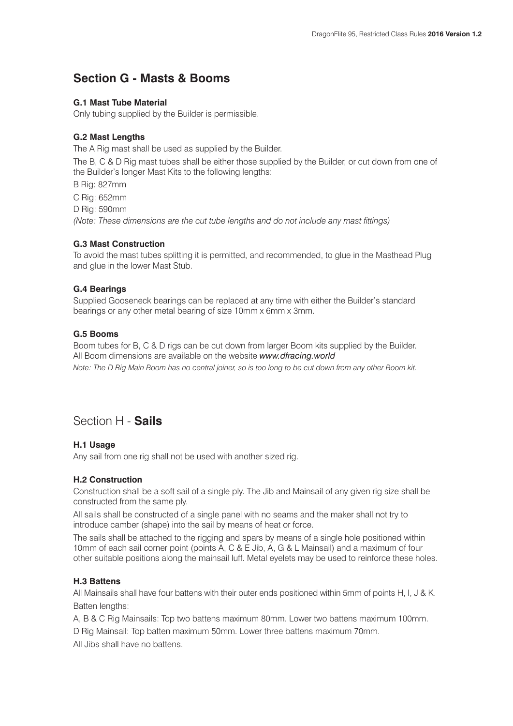### **Section G - Masts & Booms**

#### **G.1 Mast Tube Material**

Only tubing supplied by the Builder is permissible.

#### **G.2 Mast Lengths**

The A Rig mast shall be used as supplied by the Builder.

The B, C & D Rig mast tubes shall be either those supplied by the Builder, or cut down from one of the Builder's longer Mast Kits to the following lengths:

B Rig: 827mm

C Rig: 652mm

D Rig: 590mm

*(Note: These dimensions are the cut tube lengths and do not include any mast fittings)*

#### **G.3 Mast Construction**

To avoid the mast tubes splitting it is permitted, and recommended, to glue in the Masthead Plug and glue in the lower Mast Stub.

#### **G.4 Bearings**

Supplied Gooseneck bearings can be replaced at any time with either the Builder's standard bearings or any other metal bearing of size 10mm x 6mm x 3mm.

#### **G.5 Booms**

Boom tubes for B, C & D rigs can be cut down from larger Boom kits supplied by the Builder. All Boom dimensions are available on the website *www.dfracing.world Note: The D Rig Main Boom has no central joiner, so is too long to be cut down from any other Boom kit.*

### Section H - **Sails**

#### **H.1 Usage**

Any sail from one rig shall not be used with another sized rig.

#### **H.2 Construction**

Construction shall be a soft sail of a single ply. The Jib and Mainsail of any given rig size shall be constructed from the same ply.

All sails shall be constructed of a single panel with no seams and the maker shall not try to introduce camber (shape) into the sail by means of heat or force.

The sails shall be attached to the rigging and spars by means of a single hole positioned within 10mm of each sail corner point (points A, C & E Jib, A, G & L Mainsail) and a maximum of four other suitable positions along the mainsail luff. Metal eyelets may be used to reinforce these holes.

#### **H.3 Battens**

All Mainsails shall have four battens with their outer ends positioned within 5mm of points H, I, J & K. Batten lengths:

A, B & C Rig Mainsails: Top two battens maximum 80mm. Lower two battens maximum 100mm.

D Rig Mainsail: Top batten maximum 50mm. Lower three battens maximum 70mm.

All Jibs shall have no battens.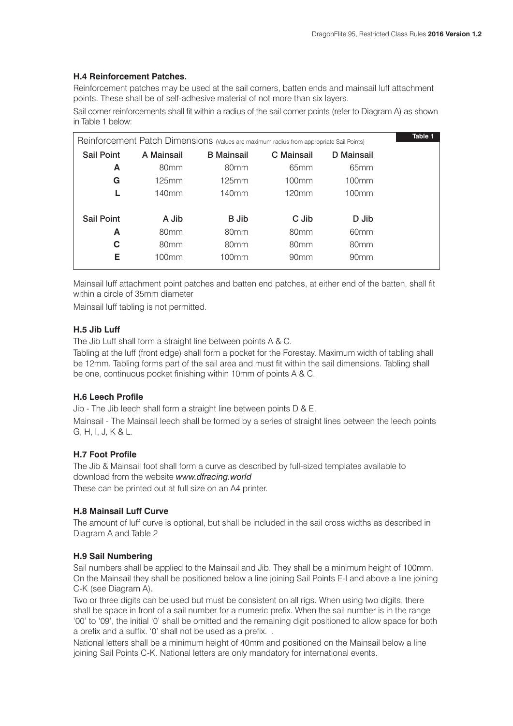#### **H.4 Reinforcement Patches.**

Reinforcement patches may be used at the sail corners, batten ends and mainsail luff attachment points. These shall be of self-adhesive material of not more than six layers.

Sail corner reinforcements shall fit within a radius of the sail corner points (refer to Diagram A) as shown in Table 1 below:

|                   |                   | Reinforcement Patch Dimensions (Values are maximum radius from appropriate Sail Points) |                  |                  | Table 1 |
|-------------------|-------------------|-----------------------------------------------------------------------------------------|------------------|------------------|---------|
| <b>Sail Point</b> | A Mainsail        | <b>B</b> Mainsail                                                                       | C Mainsail       | D Mainsail       |         |
| A                 | 80 <sub>mm</sub>  | 80 <sub>mm</sub>                                                                        | 65 <sub>mm</sub> | 65 <sub>mm</sub> |         |
| G                 | 125mm             | 125mm                                                                                   | 100mm            | 100mm            |         |
|                   | 140mm             | 140 <sub>mm</sub>                                                                       | 120mm            | 100mm            |         |
| <b>Sail Point</b> | A Jib             | <b>B</b> Jib                                                                            | C Jib            | D Jib            |         |
| A                 | 80 <sub>mm</sub>  | 80 <sub>mm</sub>                                                                        | 80 <sub>mm</sub> | 60 <sub>mm</sub> |         |
| C                 | 80 <sub>mm</sub>  | 80 <sub>mm</sub>                                                                        | 80 <sub>mm</sub> | 80 <sub>mm</sub> |         |
| Е                 | 100 <sub>mm</sub> | 100mm                                                                                   | 90 <sub>mm</sub> | 90 <sub>mm</sub> |         |
|                   |                   |                                                                                         |                  |                  |         |

Mainsail luff attachment point patches and batten end patches, at either end of the batten, shall fit within a circle of 35mm diameter

Mainsail luff tabling is not permitted.

#### **H.5 Jib Luff**

The Jib Luff shall form a straight line between points A & C.

Tabling at the luff (front edge) shall form a pocket for the Forestay. Maximum width of tabling shall be 12mm. Tabling forms part of the sail area and must fit within the sail dimensions. Tabling shall be one, continuous pocket finishing within 10mm of points A & C.

#### **H.6 Leech Profile**

Jib - The Jib leech shall form a straight line between points D & E.

Mainsail - The Mainsail leech shall be formed by a series of straight lines between the leech points G, H, I, J, K & L.

#### **H.7 Foot Profile**

The Jib & Mainsail foot shall form a curve as described by full-sized templates available to download from the website *www.dfracing.world* These can be printed out at full size on an A4 printer.

#### **H.8 Mainsail Luff Curve**

The amount of luff curve is optional, but shall be included in the sail cross widths as described in Diagram A and Table 2

#### **H.9 Sail Numbering**

Sail numbers shall be applied to the Mainsail and Jib. They shall be a minimum height of 100mm. On the Mainsail they shall be positioned below a line joining Sail Points E-I and above a line joining C-K (see Diagram A).

Two or three digits can be used but must be consistent on all rigs. When using two digits, there shall be space in front of a sail number for a numeric prefix. When the sail number is in the range '00' to '09', the initial '0' shall be omitted and the remaining digit positioned to allow space for both a prefix and a suffix. '0' shall not be used as a prefix. .

National letters shall be a minimum height of 40mm and positioned on the Mainsail below a line joining Sail Points C-K. National letters are only mandatory for international events.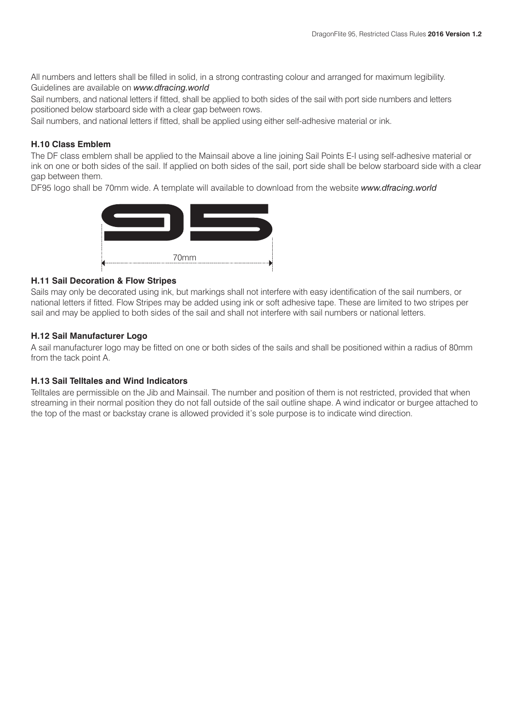All numbers and letters shall be filled in solid, in a strong contrasting colour and arranged for maximum legibility. Guidelines are available on *www.dfracing.world*

Sail numbers, and national letters if fitted, shall be applied to both sides of the sail with port side numbers and letters positioned below starboard side with a clear gap between rows.

Sail numbers, and national letters if fitted, shall be applied using either self-adhesive material or ink.

#### **H.10 Class Emblem**

The DF class emblem shall be applied to the Mainsail above a line joining Sail Points E-I using self-adhesive material or ink on one or both sides of the sail. If applied on both sides of the sail, port side shall be below starboard side with a clear gap between them.

DF95 logo shall be 70mm wide. A template will available to download from the website *www.dfracing.world*



#### **H.11 Sail Decoration & Flow Stripes**

Sails may only be decorated using ink, but markings shall not interfere with easy identification of the sail numbers, or national letters if fitted. Flow Stripes may be added using ink or soft adhesive tape. These are limited to two stripes per sail and may be applied to both sides of the sail and shall not interfere with sail numbers or national letters.

#### **H.12 Sail Manufacturer Logo**

A sail manufacturer logo may be fitted on one or both sides of the sails and shall be positioned within a radius of 80mm from the tack point A.

#### **H.13 Sail Telltales and Wind Indicators**

Telltales are permissible on the Jib and Mainsail. The number and position of them is not restricted, provided that when streaming in their normal position they do not fall outside of the sail outline shape. A wind indicator or burgee attached to the top of the mast or backstay crane is allowed provided it's sole purpose is to indicate wind direction.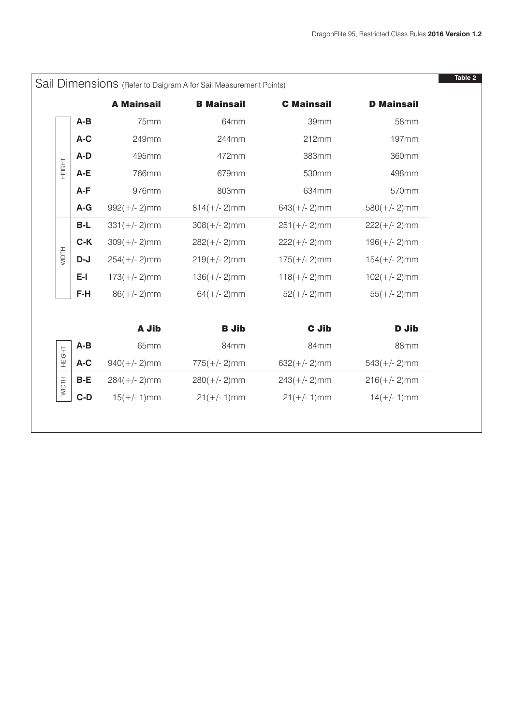|              |       |                   | Sail Dimensions (Refer to Daigram A for Sail Measurement Points) |                   |                   |
|--------------|-------|-------------------|------------------------------------------------------------------|-------------------|-------------------|
|              |       | <b>A Mainsail</b> | <b>B Mainsail</b>                                                | <b>C</b> Mainsail | <b>D</b> Mainsail |
|              | $A-B$ | 75mm              | 64mm                                                             | 39mm              | <b>58mm</b>       |
|              | A-C   | 249mm             | 244mm                                                            | 212mm             | 197mm             |
|              | A-D   | 495mm             | 472mm                                                            | 383mm             | 360mm             |
| HEIGHT       | A-E   | 766mm             | 679mm                                                            | 530mm             | 498mm             |
|              | A-F   | 976mm             | 803mm                                                            | 634mm             | 570mm             |
|              | $A-G$ | $992(+/- 2)$ mm   | $814(+/- 2)$ mm                                                  | $643(+/- 2)$ mm   | $580(+/- 2)$ mm   |
|              | $B-L$ | $331(+/- 2)$ mm   | $308(+/- 2)$ mm                                                  | $251(+/- 2)$ mm   | $222(+/- 2)$ mm   |
|              | $C-K$ | $309(+/- 2)$ mm   | $282(+/- 2)$ mm                                                  | $222(+/- 2)$ mm   | $196(+/- 2)$ mm   |
| <b>WIDTH</b> | $D-J$ | $254(+/- 2)$ mm   | $219(+/- 2)$ mm                                                  | $175(+/- 2)$ mm   | $154(+/- 2)$ mm   |
|              | $E-I$ | $173(+/- 2)$ mm   | $136(+/- 2)$ mm                                                  | $118(+/- 2)$ mm   | $102(+/- 2)$ mm   |
|              | $F-H$ | $86(+/- 2)$ mm    | $64(+/- 2)$ mm                                                   | $52(+/- 2)$ mm    | $55(+/- 2)$ mm    |
|              |       | A Jib             | <b>B</b> Jib                                                     | <b>C</b> Jib      | <b>D</b> Jib      |
|              | $A-B$ | 65mm              | 84mm                                                             | 84mm              | 88mm              |
| HEIGHT       | A-C   | $940(+/- 2)$ mm   | $775(+/- 2)$ mm                                                  | $632(+/- 2)$ mm   | $543(+/- 2)$ mm   |
| <b>WIDTH</b> | B-E   | $284(+/- 2)$ mm   | $280(+/- 2)$ mm                                                  | $243(+/- 2)$ mm   | $216(+/- 2)$ mm   |
|              | $C-D$ | $15(+/- 1)$ mm    | $21(+/- 1)$ mm                                                   | $21(+/- 1)$ mm    | $14(+/- 1)$ mm    |